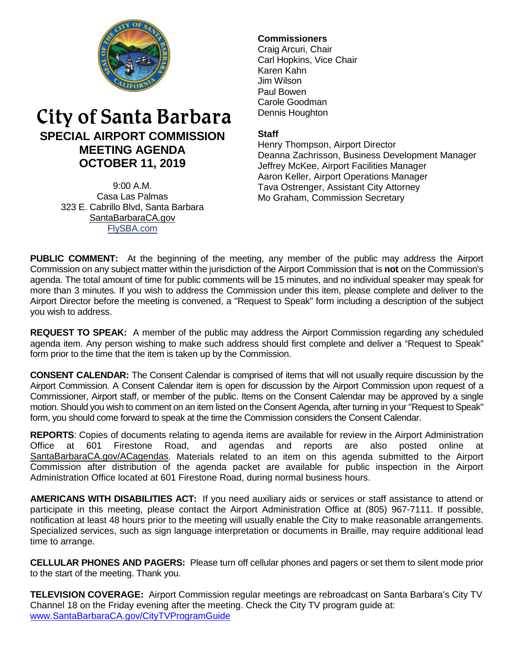

# City of Santa Barbara **SPECIAL AIRPORT COMMISSION MEETING AGENDA OCTOBER 11, 2019**

9:00 A.M. Casa Las Palmas 323 E. Cabrillo Blvd, Santa Barbara [SantaBarbaraCA.gov](http://www.santabarbaraca.gov/) [FlySBA.com](http://www.santabarbaraca.gov/gov/depts/flysba/default.asp?utm_source=FlySBA&utm_medium=Redirect&utm_campaign=ReferralTracking)

# **Commissioners**

Craig Arcuri, Chair Carl Hopkins, Vice Chair Karen Kahn Jim Wilson Paul Bowen Carole Goodman Dennis Houghton

## **Staff**

Henry Thompson, Airport Director Deanna Zachrisson, Business Development Manager Jeffrey McKee, Airport Facilities Manager Aaron Keller, Airport Operations Manager Tava Ostrenger, Assistant City Attorney Mo Graham, Commission Secretary

**PUBLIC COMMENT:** At the beginning of the meeting, any member of the public may address the Airport Commission on any subject matter within the jurisdiction of the Airport Commission that is **not** on the Commission's agenda. The total amount of time for public comments will be 15 minutes, and no individual speaker may speak for more than 3 minutes. If you wish to address the Commission under this item, please complete and deliver to the Airport Director before the meeting is convened, a "Request to Speak" form including a description of the subject you wish to address.

**REQUEST TO SPEAK:** A member of the public may address the Airport Commission regarding any scheduled agenda item. Any person wishing to make such address should first complete and deliver a "Request to Speak" form prior to the time that the item is taken up by the Commission.

**CONSENT CALENDAR:** The Consent Calendar is comprised of items that will not usually require discussion by the Airport Commission. A Consent Calendar item is open for discussion by the Airport Commission upon request of a Commissioner, Airport staff, or member of the public. Items on the Consent Calendar may be approved by a single motion. Should you wish to comment on an item listed on the Consent Agenda, after turning in your "Request to Speak" form, you should come forward to speak at the time the Commission considers the Consent Calendar.

**REPORTS**: Copies of documents relating to agenda items are available for review in the Airport Administration Office at 601 Firestone Road, and agendas and reports are also posted online at [SantaBarbaraCA.gov/ACagendas.](http://www.santabarbaraca.gov/gov/brdcomm/ac/airport/agendas.asp) Materials related to an item on this agenda submitted to the Airport Commission after distribution of the agenda packet are available for public inspection in the Airport Administration Office located at 601 Firestone Road, during normal business hours.

**AMERICANS WITH DISABILITIES ACT:** If you need auxiliary aids or services or staff assistance to attend or participate in this meeting, please contact the Airport Administration Office at (805) 967-7111. If possible, notification at least 48 hours prior to the meeting will usually enable the City to make reasonable arrangements. Specialized services, such as sign language interpretation or documents in Braille, may require additional lead time to arrange.

**CELLULAR PHONES AND PAGERS:** Please turn off cellular phones and pagers or set them to silent mode prior to the start of the meeting. Thank you.

**TELEVISION COVERAGE:** Airport Commission regular meetings are rebroadcast on Santa Barbara's City TV Channel 18 on the Friday evening after the meeting. Check the City TV program guide at: [www.SantaBarbaraCA.gov/CityTVProgramGuide](http://www.santabarbaraca.gov/CityTVProgramGuide)